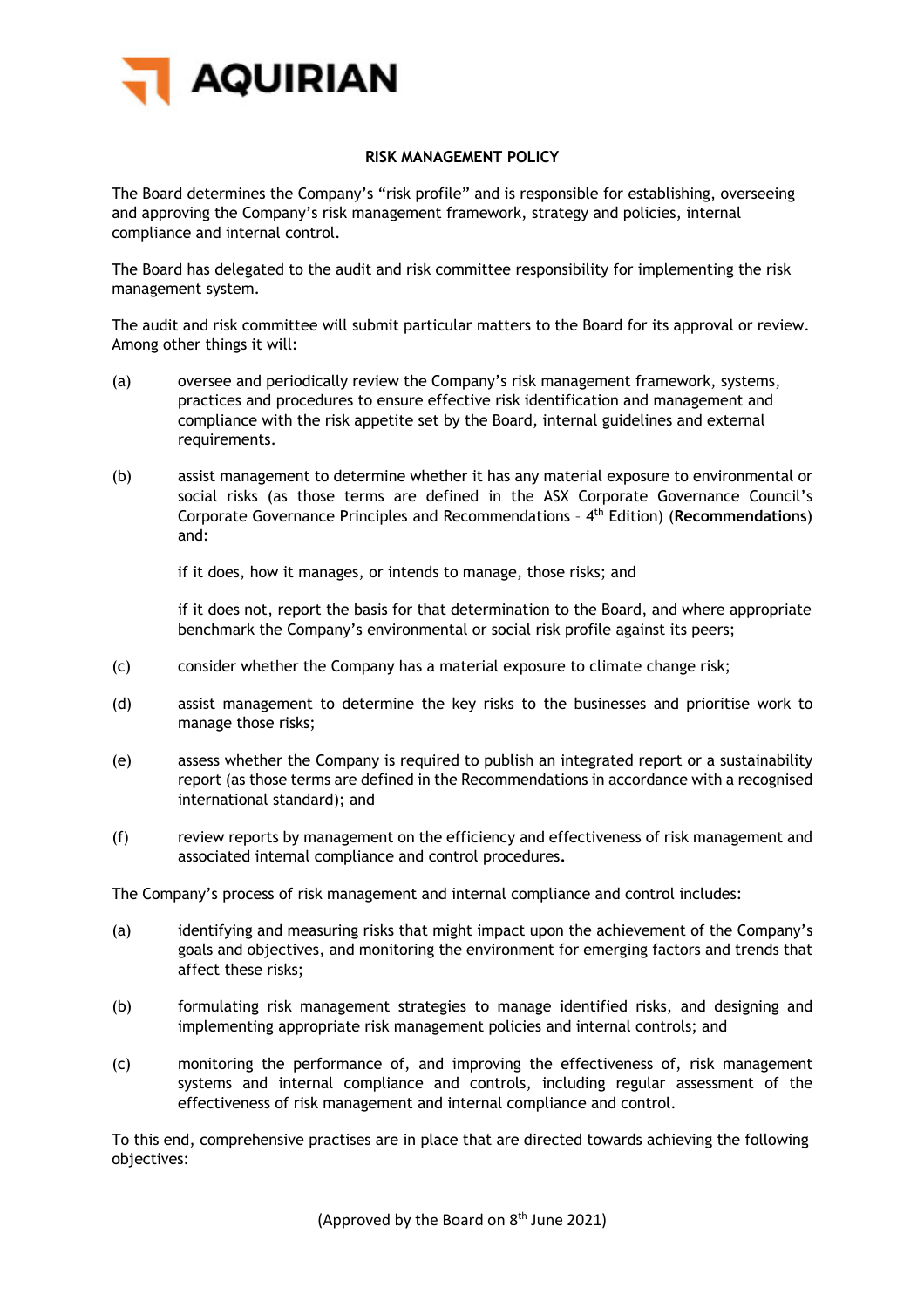

## **RISK MANAGEMENT POLICY**

The Board determines the Company's "risk profile" and is responsible for establishing, overseeing and approving the Company's risk management framework, strategy and policies, internal compliance and internal control.

The Board has delegated to the audit and risk committee responsibility for implementing the risk management system.

The audit and risk committee will submit particular matters to the Board for its approval or review. Among other things it will:

- (a) oversee and periodically review the Company's risk management framework, systems, practices and procedures to ensure effective risk identification and management and compliance with the risk appetite set by the Board, internal guidelines and external requirements.
- (b) assist management to determine whether it has any material exposure to environmental or social risks (as those terms are defined in the ASX Corporate Governance Council's Corporate Governance Principles and Recommendations – 4th Edition) (**Recommendations**) and:

if it does, how it manages, or intends to manage, those risks; and

if it does not, report the basis for that determination to the Board, and where appropriate benchmark the Company's environmental or social risk profile against its peers;

- (c) consider whether the Company has a material exposure to climate change risk;
- (d) assist management to determine the key risks to the businesses and prioritise work to manage those risks;
- (e) assess whether the Company is required to publish an integrated report or a sustainability report (as those terms are defined in the Recommendations in accordance with a recognised international standard); and
- (f) review reports by management on the efficiency and effectiveness of risk management and associated internal compliance and control procedures**.**

The Company's process of risk management and internal compliance and control includes:

- (a) identifying and measuring risks that might impact upon the achievement of the Company's goals and objectives, and monitoring the environment for emerging factors and trends that affect these risks;
- (b) formulating risk management strategies to manage identified risks, and designing and implementing appropriate risk management policies and internal controls; and
- (c) monitoring the performance of, and improving the effectiveness of, risk management systems and internal compliance and controls, including regular assessment of the effectiveness of risk management and internal compliance and control.

To this end, comprehensive practises are in place that are directed towards achieving the following objectives: